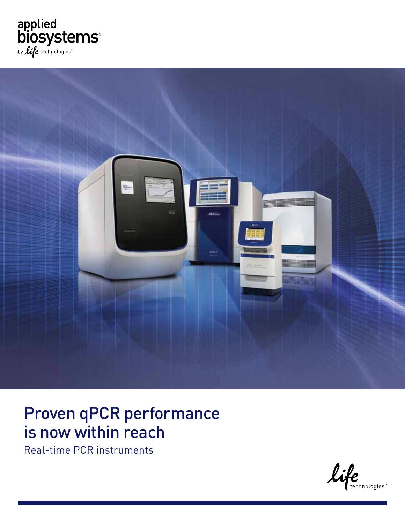



### Proven qPCR performance is now within reach

Real-time PCR instruments

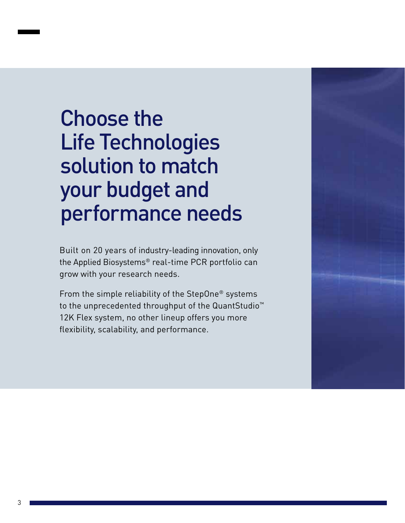# Choose the Life Technologies solution to match your budget and performance needs

Built on 20 years of industry-leading innovation, only the Applied Biosystems® real-time PCR portfolio can grow with your research needs.

From the simple reliability of the StepOne® systems to the unprecedented throughput of the QuantStudio™ 12K Flex system, no other lineup offers you more flexibility, scalability, and performance.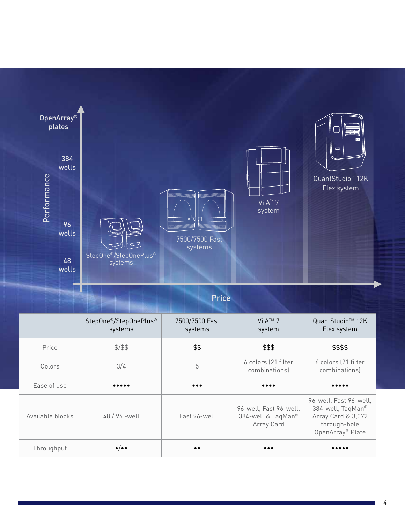

### Price

|                  | StepOne <sup>®</sup> /StepOnePlus <sup>®</sup><br>systems | 7500/7500 Fast<br>systems | ViiA™ 7<br>system                                          | QuantStudio <sup>™</sup> 12K<br>Flex system                                                                       |
|------------------|-----------------------------------------------------------|---------------------------|------------------------------------------------------------|-------------------------------------------------------------------------------------------------------------------|
| Price            | \$1,5                                                     | \$\$                      | \$\$\$                                                     | \$\$\$\$                                                                                                          |
| Colors           | 3/4                                                       | 5                         | 6 colors (21 filter<br>combinations)                       | 6 colors (21 filter<br>combinations)                                                                              |
| Ease of use      |                                                           | $\bullet\bullet\bullet$   | $\bullet\bullet\bullet\bullet$                             |                                                                                                                   |
| Available blocks | 48/96 - well                                              | Fast 96-well              | 96-well, Fast 96-well,<br>384-well & TaqMan®<br>Array Card | 96-well, Fast 96-well,<br>384-well, TaqMan®<br>Array Card & 3,072<br>through-hole<br>OpenArray <sup>®</sup> Plate |
| Throughput       | $\bullet/\bullet\bullet$                                  | $\bullet\bullet$          | $\bullet\bullet\bullet$                                    |                                                                                                                   |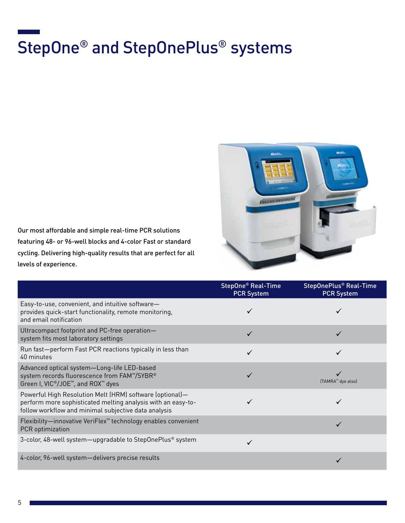# StepOne® and StepOnePlus® systems



Our most affordable and simple real-time PCR solutions featuring 48- or 96-well blocks and 4-color Fast or standard cycling. Delivering high-quality results that are perfect for all levels of experience.

|                                                                                                                                                                                  | StepOne <sup>®</sup> Real-Time<br><b>PCR System</b> | StepOnePlus <sup>®</sup> Real-Time<br><b>PCR System</b> |
|----------------------------------------------------------------------------------------------------------------------------------------------------------------------------------|-----------------------------------------------------|---------------------------------------------------------|
| Easy-to-use, convenient, and intuitive software-<br>provides quick-start functionality, remote monitoring,<br>and email notification                                             |                                                     |                                                         |
| Ultracompact footprint and PC-free operation-<br>system fits most laboratory settings                                                                                            |                                                     |                                                         |
| Run fast-perform Fast PCR reactions typically in less than<br>40 minutes                                                                                                         |                                                     |                                                         |
| Advanced optical system-Long-life LED-based<br>system records fluorescence from FAM™/SYBR®<br>Green I, VIC <sup>®</sup> /JOE <sup>™</sup> , and ROX <sup>™</sup> dyes            |                                                     | (TAMRA <sup>™</sup> dye also)                           |
| Powerful High Resolution Melt (HRM) software (optional)-<br>perform more sophisticated melting analysis with an easy-to-<br>follow workflow and minimal subjective data analysis |                                                     |                                                         |
| Flexibility-innovative VeriFlex <sup>™</sup> technology enables convenient<br>PCR optimization                                                                                   |                                                     |                                                         |
| 3-color, 48-well system-upgradable to StepOnePlus <sup>®</sup> system                                                                                                            |                                                     |                                                         |
| 4-color, 96-well system-delivers precise results                                                                                                                                 |                                                     |                                                         |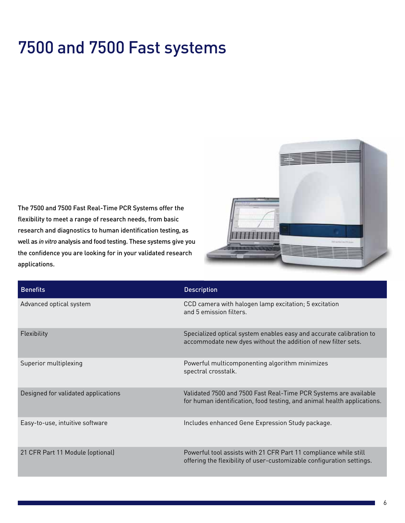## 7500 and 7500 Fast systems

The 7500 and 7500 Fast Real-Time PCR Systems offer the flexibility to meet a range of research needs, from basic research and diagnostics to human identification testing, as well as *in vitro* analysis and food testing. These systems give you the confidence you are looking for in your validated research applications.



| <b>Benefits</b>                     | <b>Description</b>                                                                                                                          |
|-------------------------------------|---------------------------------------------------------------------------------------------------------------------------------------------|
| Advanced optical system             | CCD camera with halogen lamp excitation; 5 excitation<br>and 5 emission filters.                                                            |
| Flexibility                         | Specialized optical system enables easy and accurate calibration to<br>accommodate new dyes without the addition of new filter sets.        |
| Superior multiplexing               | Powerful multicomponenting algorithm minimizes<br>spectral crosstalk.                                                                       |
| Designed for validated applications | Validated 7500 and 7500 Fast Real-Time PCR Systems are available<br>for human identification, food testing, and animal health applications. |
| Easy-to-use, intuitive software     | Includes enhanced Gene Expression Study package.                                                                                            |
| 21 CFR Part 11 Module (optional)    | Powerful tool assists with 21 CFR Part 11 compliance while still<br>offering the flexibility of user-customizable configuration settings.   |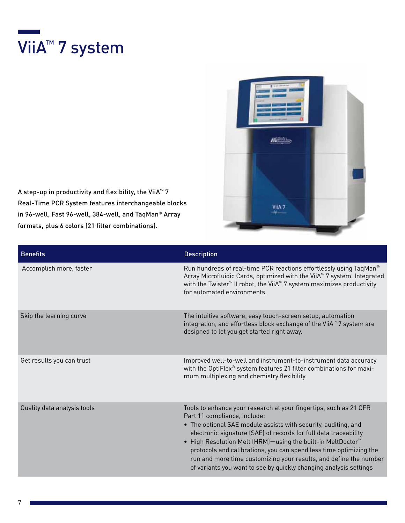



A step-up in productivity and flexibility, the ViiA™ 7 Real-Time PCR System features interchangeable blocks in 96-well, Fast 96-well, 384-well, and TaqMan® Array formats, plus 6 colors (21 filter combinations).

| <b>Benefits</b>             | <b>Description</b>                                                                                                                                                                                                                                                                                                                                                                                                                                                                                                                 |
|-----------------------------|------------------------------------------------------------------------------------------------------------------------------------------------------------------------------------------------------------------------------------------------------------------------------------------------------------------------------------------------------------------------------------------------------------------------------------------------------------------------------------------------------------------------------------|
| Accomplish more, faster     | Run hundreds of real-time PCR reactions effortlessly using TaqMan®<br>Array Microfluidic Cards, optimized with the ViiA <sup>™</sup> 7 system. Integrated<br>with the Twister <sup>™</sup> II robot, the ViiA <sup>™</sup> 7 system maximizes productivity<br>for automated environments.                                                                                                                                                                                                                                          |
| Skip the learning curve     | The intuitive software, easy touch-screen setup, automation<br>integration, and effortless block exchange of the ViiA <sup>™</sup> 7 system are<br>designed to let you get started right away.                                                                                                                                                                                                                                                                                                                                     |
| Get results you can trust   | Improved well-to-well and instrument-to-instrument data accuracy<br>with the OptiFlex® system features 21 filter combinations for maxi-<br>mum multiplexing and chemistry flexibility.                                                                                                                                                                                                                                                                                                                                             |
| Quality data analysis tools | Tools to enhance your research at your fingertips, such as 21 CFR<br>Part 11 compliance, include:<br>• The optional SAE module assists with security, auditing, and<br>electronic signature (SAE) of records for full data traceability<br>. High Resolution Melt (HRM)-using the built-in MeltDoctor <sup>™</sup><br>protocols and calibrations, you can spend less time optimizing the<br>run and more time customizing your results, and define the number<br>of variants you want to see by quickly changing analysis settings |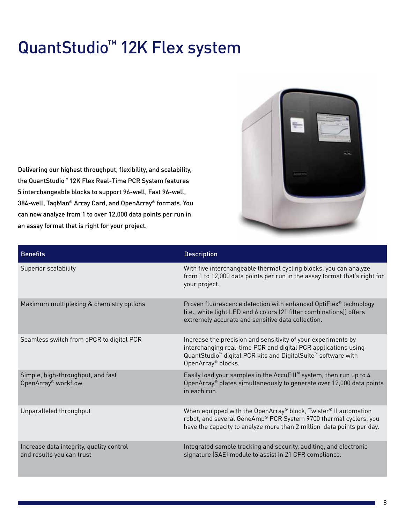## QuantStudio™ 12K Flex system

Delivering our highest throughput, flexibility, and scalability, the QuantStudio™ 12K Flex Real-Time PCR System features 5 interchangeable blocks to support 96-well, Fast 96-well, 384-well, TaqMan® Array Card, and OpenArray® formats. You can now analyze from 1 to over 12,000 data points per run in an assay format that is right for your project.



| <b>Benefits</b>                                                       | <b>Description</b>                                                                                                                                                                                                                                         |
|-----------------------------------------------------------------------|------------------------------------------------------------------------------------------------------------------------------------------------------------------------------------------------------------------------------------------------------------|
| Superior scalability                                                  | With five interchangeable thermal cycling blocks, you can analyze<br>from 1 to 12,000 data points per run in the assay format that's right for<br>your project.                                                                                            |
| Maximum multiplexing & chemistry options                              | Proven fluorescence detection with enhanced OptiFlex® technology<br>(i.e., white light LED and 6 colors (21 filter combinations)) offers<br>extremely accurate and sensitive data collection.                                                              |
| Seamless switch from qPCR to digital PCR                              | Increase the precision and sensitivity of your experiments by<br>interchanging real-time PCR and digital PCR applications using<br>QuantStudio <sup>™</sup> digital PCR kits and DigitalSuite <sup>™</sup> software with<br>OpenArray <sup>®</sup> blocks. |
| Simple, high-throughput, and fast<br>OpenArray <sup>®</sup> workflow  | Easily load your samples in the AccuFill <sup>™</sup> system, then run up to 4<br>OpenArray <sup>®</sup> plates simultaneously to generate over 12,000 data points<br>in each run.                                                                         |
| Unparalleled throughput                                               | When equipped with the OpenArray® block, Twister® II automation<br>robot, and several GeneAmp® PCR System 9700 thermal cyclers, you<br>have the capacity to analyze more than 2 million data points per day.                                               |
| Increase data integrity, quality control<br>and results you can trust | Integrated sample tracking and security, auditing, and electronic<br>signature (SAE) module to assist in 21 CFR compliance.                                                                                                                                |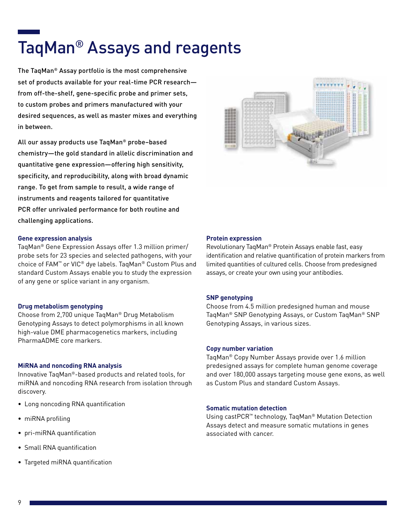## TaqMan® Assays and reagents

The TaqMan® Assay portfolio is the most comprehensive set of products available for your real-time PCR research from off-the-shelf, gene-specific probe and primer sets, to custom probes and primers manufactured with your desired sequences, as well as master mixes and everything in between.

All our assay products use TaqMan® probe–based chemistry—the gold standard in allelic discrimination and quantitative gene expression—offering high sensitivity, specificity, and reproducibility, along with broad dynamic range. To get from sample to result, a wide range of instruments and reagents tailored for quantitative PCR offer unrivaled performance for both routine and challenging applications.

#### **Gene expression analysis**

TaqMan® Gene Expression Assays offer 1.3 million primer/ probe sets for 23 species and selected pathogens, with your choice of FAM™ or VIC® dye labels. TaqMan® Custom Plus and standard Custom Assays enable you to study the expression of any gene or splice variant in any organism.

#### **Drug metabolism genotyping**

Choose from 2,700 unique TaqMan® Drug Metabolism Genotyping Assays to detect polymorphisms in all known high-value DME pharmacogenetics markers, including PharmaADME core markers.

#### **MiRNA and noncoding RNA analysis**

Innovative TaqMan®-based products and related tools, for miRNA and noncoding RNA research from isolation through discovery.

- Long noncoding RNA quantification
- miRNA profiling
- pri-miRNA quantification
- Small RNA quantification
- Targeted miRNA quantification



#### **Protein expression**

Revolutionary TaqMan® Protein Assays enable fast, easy identification and relative quantification of protein markers from limited quantities of cultured cells. Choose from predesigned assays, or create your own using your antibodies.

#### **SNP genotyping**

Choose from 4.5 million predesigned human and mouse TaqMan® SNP Genotyping Assays, or Custom TaqMan® SNP Genotyping Assays, in various sizes.

#### **Copy number variation**

TaqMan® Copy Number Assays provide over 1.6 million predesigned assays for complete human genome coverage and over 180,000 assays targeting mouse gene exons, as well as Custom Plus and standard Custom Assays.

#### **Somatic mutation detection**

Using castPCR™ technology, TaqMan® Mutation Detection Assays detect and measure somatic mutations in genes associated with cancer.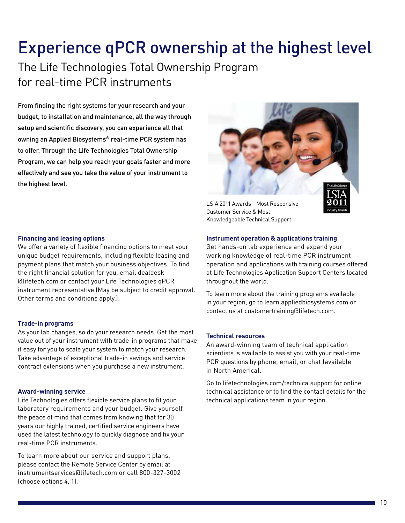## Experience qPCR ownership at the highest level

The Life Technologies Total Ownership Program for real-time PCR instruments

From finding the right systems for your research and your budget, to installation and maintenance, all the way through setup and scientific discovery, you can experience all that owning an Applied Biosystems® real-time PCR system has to offer. Through the Life Technologies Total Ownership Program, we can help you reach your goals faster and more effectively and see you take the value of your instrument to the highest level.



LSIA 2011 Awards—Most Responsive Customer Service & Most Knowledgeable Technical Support

**Financing and leasing options** 

We offer a variety of flexible financing options to meet your unique budget requirements, including flexible leasing and payment plans that match your business objectives. To find the right financial solution for you, email dealdesk @lifetech.com or contact your Life Technologies qPCR instrument representative (May be subject to credit approval. Other terms and conditions apply.).

#### **Trade-in programs**

As your lab changes, so do your research needs. Get the most value out of your instrument with trade-in programs that make it easy for you to scale your system to match your research. Take advantage of exceptional trade-in savings and service contract extensions when you purchase a new instrument.

#### **Award-winning service**

Life Technologies offers flexible service plans to fit your laboratory requirements and your budget. Give yourself the peace of mind that comes from knowing that for 30 years our highly trained, certified service engineers have used the latest technology to quickly diagnose and fix your real-time PCR instruments.

To learn more about our service and support plans, please contact the Remote Service Center by email at instrumentservices@lifetech.com or call 800-327-3002 (choose options 4, 1).

#### **Instrument operation & applications training**

Get hands-on lab experience and expand your working knowledge of real-time PCR instrument operation and applications with training courses offered at Life Technologies Application Support Centers located throughout the world.

To learn more about the training programs available in your region, go to learn.appliedbiosystems.com or contact us at customertraining@lifetech.com.

#### **Technical resources**

An award-winning team of technical application scientists is available to assist you with your real-time PCR questions by phone, email, or chat (available in North America).

Go to lifetechnologies.com/technicalsupport for online technical assistance or to find the contact details for the technical applications team in your region.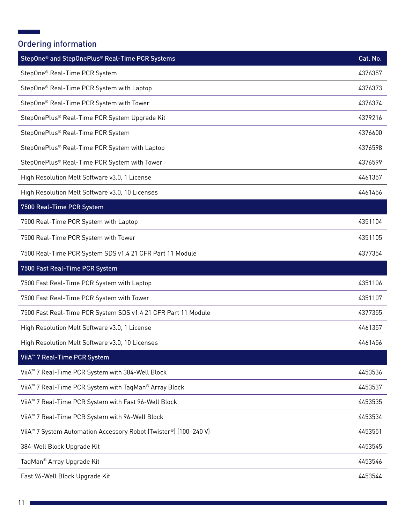### Ordering information

 $\mathcal{L}^{\text{max}}_{\text{max}}$ 

| StepOne® and StepOnePlus® Real-Time PCR Systems                                           | Cat. No. |
|-------------------------------------------------------------------------------------------|----------|
| StepOne <sup>®</sup> Real-Time PCR System                                                 | 4376357  |
| StepOne <sup>®</sup> Real-Time PCR System with Laptop                                     | 4376373  |
| StepOne® Real-Time PCR System with Tower                                                  | 4376374  |
| StepOnePlus® Real-Time PCR System Upgrade Kit                                             | 4379216  |
| StepOnePlus® Real-Time PCR System                                                         | 4376600  |
| StepOnePlus® Real-Time PCR System with Laptop                                             | 4376598  |
| StepOnePlus® Real-Time PCR System with Tower                                              | 4376599  |
| High Resolution Melt Software v3.0, 1 License                                             | 4461357  |
| High Resolution Melt Software v3.0, 10 Licenses                                           | 4461456  |
| 7500 Real-Time PCR System                                                                 |          |
| 7500 Real-Time PCR System with Laptop                                                     | 4351104  |
| 7500 Real-Time PCR System with Tower                                                      | 4351105  |
| 7500 Real-Time PCR System SDS v1.4 21 CFR Part 11 Module                                  | 4377354  |
| 7500 Fast Real-Time PCR System                                                            |          |
| 7500 Fast Real-Time PCR System with Laptop                                                | 4351106  |
| 7500 Fast Real-Time PCR System with Tower                                                 | 4351107  |
| 7500 Fast Real-Time PCR System SDS v1.4 21 CFR Part 11 Module                             | 4377355  |
| High Resolution Melt Software v3.0, 1 License                                             | 4461357  |
| High Resolution Melt Software v3.0, 10 Licenses                                           | 4461456  |
| ViiA <sup>™</sup> 7 Real-Time PCR System                                                  |          |
| ViiA <sup>™</sup> 7 Real-Time PCR System with 384-Well Block                              | 4453536  |
| ViiA <sup>™</sup> 7 Real-Time PCR System with TaqMan <sup>®</sup> Array Block             | 4453537  |
| ViiA <sup>™</sup> 7 Real-Time PCR System with Fast 96-Well Block                          | 4453535  |
| ViiA <sup>™</sup> 7 Real-Time PCR System with 96-Well Block                               | 4453534  |
| ViiA <sup>™</sup> 7 System Automation Accessory Robot (Twister <sup>®</sup> ) (100-240 V) | 4453551  |
| 384-Well Block Upgrade Kit                                                                | 4453545  |
| TaqMan <sup>®</sup> Array Upgrade Kit                                                     | 4453546  |
| Fast 96-Well Block Upgrade Kit                                                            | 4453544  |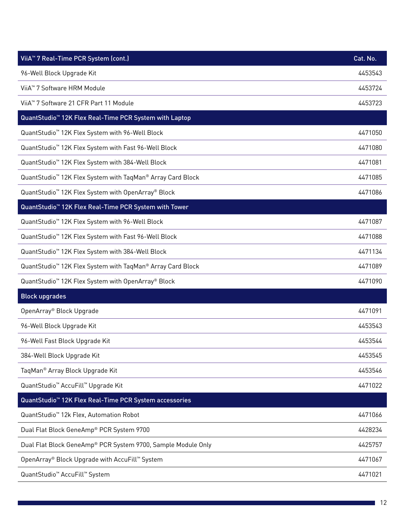| ViiA <sup>™</sup> 7 Real-Time PCR System (cont.)                       | Cat. No. |
|------------------------------------------------------------------------|----------|
| 96-Well Block Upgrade Kit                                              | 4453543  |
| ViiA <sup>™</sup> 7 Software HRM Module                                | 4453724  |
| ViiA <sup>™</sup> 7 Software 21 CFR Part 11 Module                     | 4453723  |
| QuantStudio <sup>™</sup> 12K Flex Real-Time PCR System with Laptop     |          |
| QuantStudio <sup>™</sup> 12K Flex System with 96-Well Block            | 4471050  |
| QuantStudio <sup>™</sup> 12K Flex System with Fast 96-Well Block       | 4471080  |
| QuantStudio <sup>™</sup> 12K Flex System with 384-Well Block           | 4471081  |
| QuantStudio <sup>™</sup> 12K Flex System with TaqMan® Array Card Block | 4471085  |
| QuantStudio <sup>™</sup> 12K Flex System with OpenArray® Block         | 4471086  |
| QuantStudio <sup>™</sup> 12K Flex Real-Time PCR System with Tower      |          |
| QuantStudio <sup>™</sup> 12K Flex System with 96-Well Block            | 4471087  |
| QuantStudio <sup>™</sup> 12K Flex System with Fast 96-Well Block       | 4471088  |
| QuantStudio <sup>™</sup> 12K Flex System with 384-Well Block           | 4471134  |
| QuantStudio <sup>™</sup> 12K Flex System with TaqMan® Array Card Block | 4471089  |
| QuantStudio <sup>™</sup> 12K Flex System with OpenArray® Block         | 4471090  |
| <b>Block upgrades</b>                                                  |          |
| OpenArray® Block Upgrade                                               | 4471091  |
| 96-Well Block Upgrade Kit                                              | 4453543  |
| 96-Well Fast Block Upgrade Kit                                         | 4453544  |
| 384-Well Block Upgrade Kit                                             | 4453545  |
| TaqMan <sup>®</sup> Array Block Upgrade Kit                            | 4453546  |
| QuantStudio <sup>™</sup> AccuFill <sup>™</sup> Upgrade Kit             | 4471022  |
| QuantStudio <sup>™</sup> 12K Flex Real-Time PCR System accessories     |          |
| QuantStudio <sup>™</sup> 12k Flex, Automation Robot                    | 4471066  |
| Dual Flat Block GeneAmp® PCR System 9700                               | 4428234  |
| Dual Flat Block GeneAmp® PCR System 9700, Sample Module Only           | 4425757  |
| OpenArray® Block Upgrade with AccuFill™ System                         | 4471067  |
| QuantStudio <sup>™</sup> AccuFill <sup>™</sup> System                  | 4471021  |